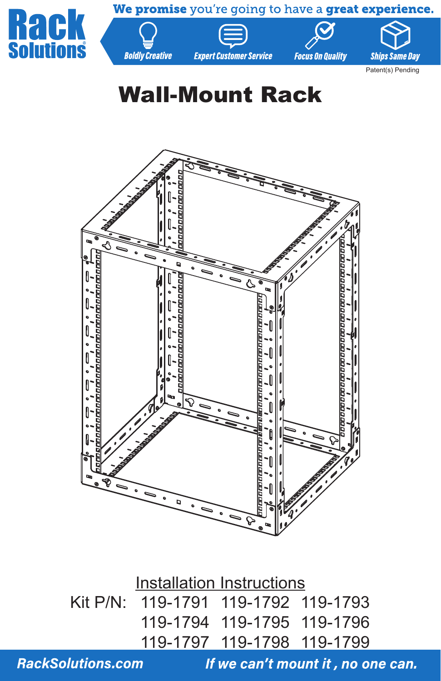

# Wall-Mount Rack



Installation Instructions Kit P/N: 119-1791 119-1792 119-1793 119-1794 119-1795 119-1796 119-1797 119-1798 119-1799

**RackSolutions.com**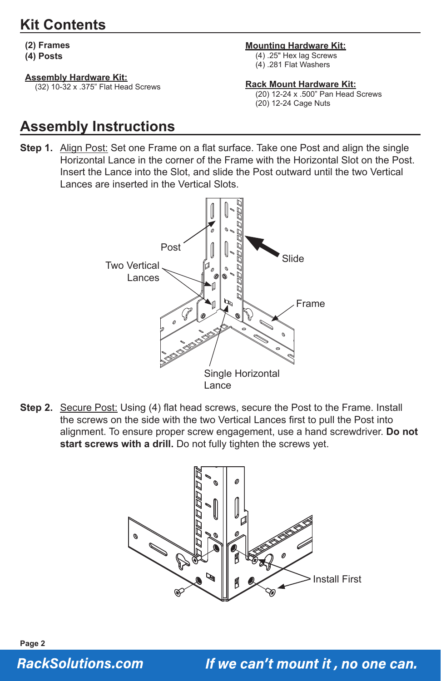# **Kit Contents**

**(2) Frames**

**(4) Posts**

#### **Assembly Hardware Kit:**

(32) 10-32 x .375" Flat Head Screws

#### **Mounting Hardware Kit:**

(4) .25" Hex lag Screws (4) .281 Flat Washers

**Rack Mount Hardware Kit:**

(20) 12-24 x .500" Pan Head Screws (20) 12-24 Cage Nuts

# **Assembly Instructions**

**Step 1.** Align Post: Set one Frame on a flat surface. Take one Post and align the single Horizontal Lance in the corner of the Frame with the Horizontal Slot on the Post. Insert the Lance into the Slot, and slide the Post outward until the two Vertical Lances are inserted in the Vertical Slots.



**Step 2.** Secure Post: Using (4) flat head screws, secure the Post to the Frame. Install the screws on the side with the two Vertical Lances first to pull the Post into alignment. To ensure proper screw engagement, use a hand screwdriver. **Do not** start screws with a drill. Do not fully tighten the screws yet.



**Page 2 RackSolutions.com**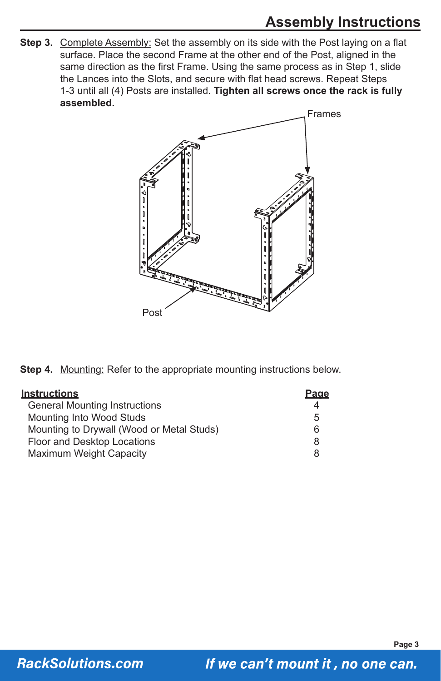# **Assembly Instructions**

Step 3. Complete Assembly: Set the assembly on its side with the Post laying on a flat surface. Place the second Frame at the other end of the Post, aligned in the same direction as the first Frame. Using the same process as in Step 1, slide the Lances into the Slots, and secure with flat head screws. Repeat Steps 1-3 until all (4) Posts are installed. **Tighten all screws once the rack is fully assembled.**



**Step 4.** Mounting: Refer to the appropriate mounting instructions below.

| <b>Instructions</b>                       | Page |
|-------------------------------------------|------|
| <b>General Mounting Instructions</b>      |      |
| <b>Mounting Into Wood Studs</b>           | 5    |
| Mounting to Drywall (Wood or Metal Studs) | 6    |
| Floor and Desktop Locations               | 8    |
| Maximum Weight Capacity                   | 8    |

**Page 3**

**RackSolutions.com**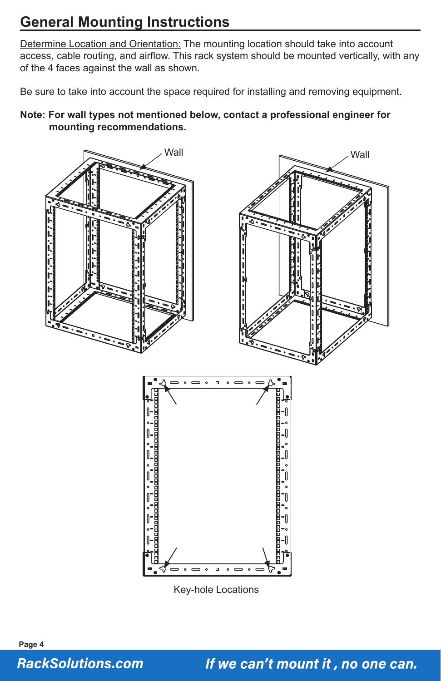# **General Mounting Instructions**

Determine Location and Orientation: The mounting location should take into account access, cable routing, and airflow. This rack system should be mounted vertically, with any of the 4 faces against the wall as shown.

Be sure to take into account the space required for installing and removing equipment.

**Note: For wall types not mentioned below, contact a professional engineer for mounting recommendations.** 



Key-hole Locations

**Page 4 RackSolutions.com**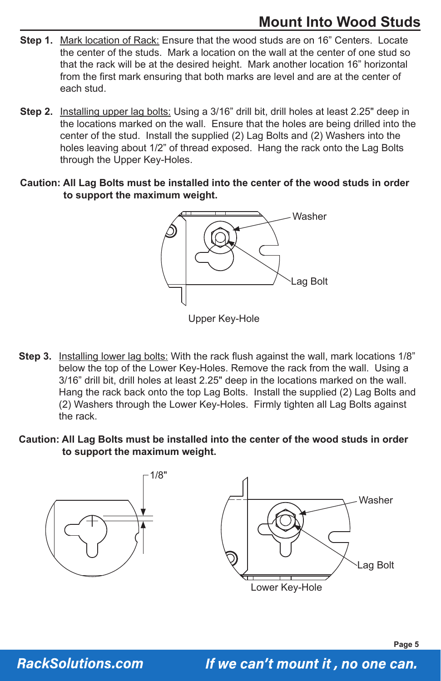# **Mount Into Wood Studs**

- **Step 1.** Mark location of Rack: Ensure that the wood studs are on 16" Centers. Locate the center of the studs. Mark a location on the wall at the center of one stud so that the rack will be at the desired height. Mark another location 16" horizontal from the first mark ensuring that both marks are level and are at the center of each stud.
- **Step 2.** Installing upper lag bolts: Using a 3/16" drill bit, drill holes at least 2.25" deep in the locations marked on the wall. Ensure that the holes are being drilled into the center of the stud. Install the supplied  $(2)$  Lag Bolts and  $(2)$  Washers into the holes leaving about 1/2" of thread exposed. Hang the rack onto the Lag Bolts through the Upper Key-Holes.
- **Caution: All Lag Bolts must be installed into the center of the wood studs in order to support the maximum weight.**



Upper Key-Hole

- **Step 3.** Installing lower lag bolts: With the rack flush against the wall, mark locations 1/8" below the top of the Lower Key-Holes. Remove the rack from the wall. Using a 3/16" drill bit, drill holes at least 2.25" deep in the locations marked on the wall. Hang the rack back onto the top Lag Bolts. Install the supplied (2) Lag Bolts and (2) Washers through the Lower Key-Holes. Firmly tighten all Lag Bolts against the rack.
- **Caution: All Lag Bolts must be installed into the center of the wood studs in order to support the maximum weight.**



**RackSolutions.com**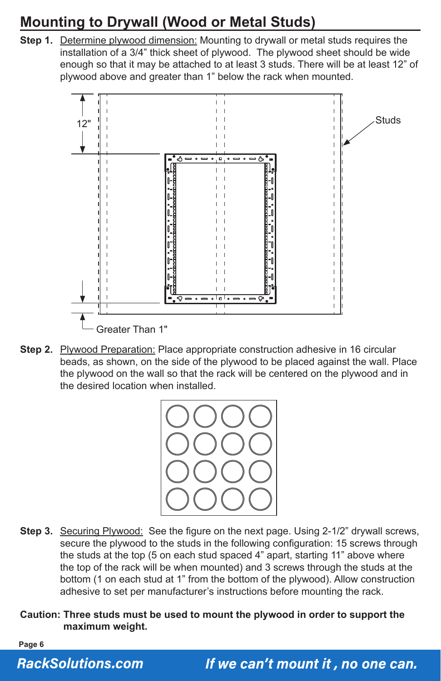# **Mounting to Drywall (Wood or Metal Studs)**

**Step 1.** Determine plywood dimension: Mounting to drywall or metal studs requires the installation of a 3/4" thick sheet of plywood. The plywood sheet should be wide enough so that it may be attached to at least 3 studs. There will be at least 12" of plywood above and greater than 1" below the rack when mounted.



**Step 2.** Plywood Preparation: Place appropriate construction adhesive in 16 circular beads, as shown, on the side of the plywood to be placed against the wall. Place the plywood on the wall so that the rack will be centered on the plywood and in the desired location when installed.



**Step 3.** Securing Plywood: See the figure on the next page. Using 2-1/2" drywall screws, secure the plywood to the studs in the following configuration: 15 screws through the studs at the top (5 on each stud spaced 4" apart, starting 11" above where the top of the rack will be when mounted) and 3 screws through the studs at the bottom (1 on each stud at 1" from the bottom of the plywood). Allow construction adhesive to set per manufacturer's instructions before mounting the rack.

**Caution: Three studs must be used to mount the plywood in order to support the maximum weight.** 

**Page 6**

#### **RackSolutions.com**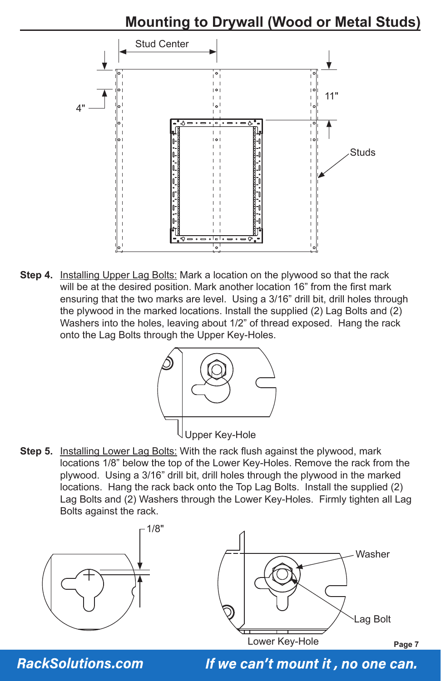# **Mounting to Drywall (Wood or Metal Studs)**



**Step 4.** Installing Upper Lag Bolts: Mark a location on the plywood so that the rack will be at the desired position. Mark another location 16" from the first mark ensuring that the two marks are level. Using a 3/16" drill bit, drill holes through the plywood in the marked locations. Install the supplied (2) Lag Bolts and (2) Washers into the holes, leaving about 1/2" of thread exposed. Hang the rack onto the Lag Bolts through the Upper Key-Holes.



**Step 5.** Installing Lower Lag Bolts: With the rack flush against the plywood, mark locations 1/8" below the top of the Lower Key-Holes. Remove the rack from the plywood. Using a 3/16" drill bit, drill holes through the plywood in the marked locations. Hang the rack back onto the Top Lag Bolts. Install the supplied (2) Lag Bolts and (2) Washers through the Lower Key-Holes. Firmly tighten all Lag Bolts against the rack.





**RackSolutions.com**